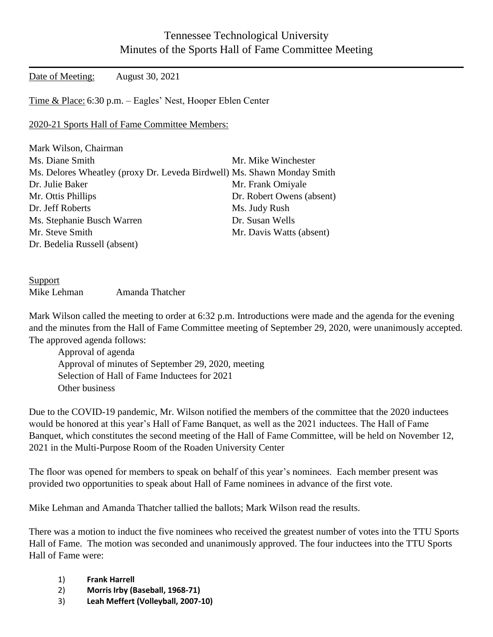## Tennessee Technological University Minutes of the Sports Hall of Fame Committee Meeting

Date of Meeting: August 30, 2021

Time & Place: 6:30 p.m. – Eagles' Nest, Hooper Eblen Center

2020-21 Sports Hall of Fame Committee Members:

| Mark Wilson, Chairman                                                   |                           |
|-------------------------------------------------------------------------|---------------------------|
| Ms. Diane Smith                                                         | Mr. Mike Winchester       |
| Ms. Delores Wheatley (proxy Dr. Leveda Birdwell) Ms. Shawn Monday Smith |                           |
| Dr. Julie Baker                                                         | Mr. Frank Omiyale         |
| Mr. Ottis Phillips                                                      | Dr. Robert Owens (absent) |
| Dr. Jeff Roberts                                                        | Ms. Judy Rush             |
| Ms. Stephanie Busch Warren                                              | Dr. Susan Wells           |
| Mr. Steve Smith                                                         | Mr. Davis Watts (absent)  |
| Dr. Bedelia Russell (absent)                                            |                           |

Support Mike Lehman Amanda Thatcher

Mark Wilson called the meeting to order at 6:32 p.m. Introductions were made and the agenda for the evening and the minutes from the Hall of Fame Committee meeting of September 29, 2020, were unanimously accepted. The approved agenda follows:

Approval of agenda Approval of minutes of September 29, 2020, meeting Selection of Hall of Fame Inductees for 2021 Other business

Due to the COVID-19 pandemic, Mr. Wilson notified the members of the committee that the 2020 inductees would be honored at this year's Hall of Fame Banquet, as well as the 2021 inductees. The Hall of Fame Banquet, which constitutes the second meeting of the Hall of Fame Committee, will be held on November 12, 2021 in the Multi-Purpose Room of the Roaden University Center

The floor was opened for members to speak on behalf of this year's nominees. Each member present was provided two opportunities to speak about Hall of Fame nominees in advance of the first vote.

Mike Lehman and Amanda Thatcher tallied the ballots; Mark Wilson read the results.

There was a motion to induct the five nominees who received the greatest number of votes into the TTU Sports Hall of Fame. The motion was seconded and unanimously approved. The four inductees into the TTU Sports Hall of Fame were:

- 1) **Frank Harrell**
- 2) **Morris Irby (Baseball, 1968-71)**
- 3) **Leah Meffert (Volleyball, 2007-10)**